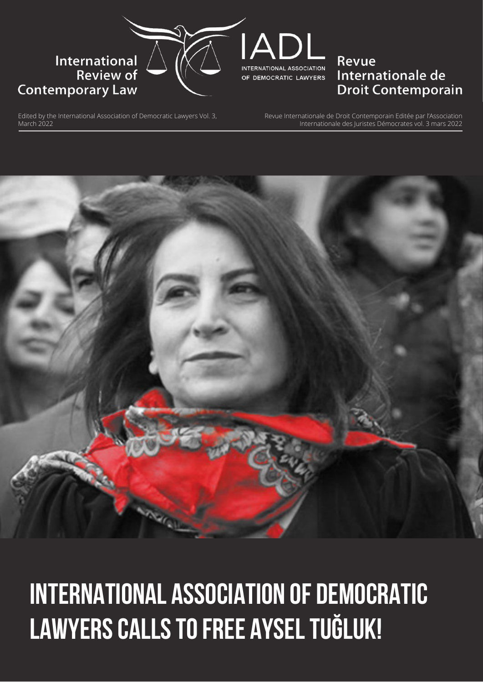



## Revue Internationale de **Droit Contemporain**

Edited by the International Association of Democratic Lawyers Vol. 3, March 2022

Revue Internationale de Droit Contemporain Editée par l'Association Internationale des Juristes Démocrates vol. 3 mars 2022



## **INTERNATIONAL ASSOCIATION OF DEMOCRATIC LAWYERS CALLS to free AYSEL TUĞLUK!**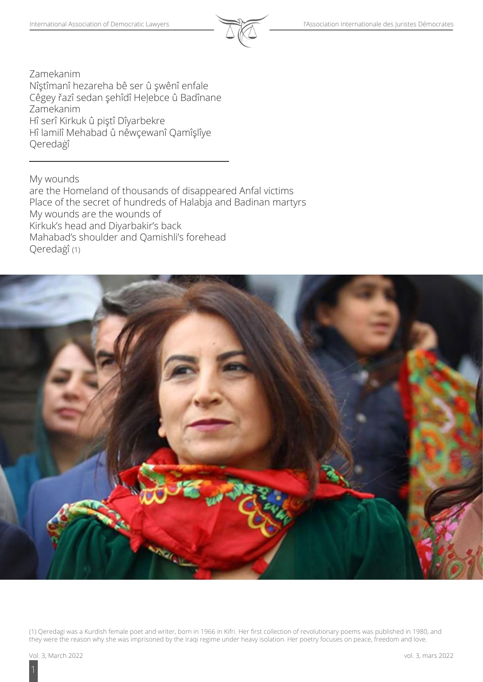

Zamekanim Nîştîmanî hezareha bê ser û şwênî enfale Cêgey řazî sedan şehîdî Heļebce û Badînane Zamekanim Hî serî Kirkuk û piştî Dîyarbekre Hî lamilî Mehabad û nêwçewanî Qamîşlîye Qeredaġî

My wounds are the Homeland of thousands of disappeared Anfal victims Place of the secret of hundreds of Halabja and Badinan martyrs My wounds are the wounds of Kirkuk's head and Diyarbakir's back Mahabad's shoulder and Qamishli's forehead Qeredaġî (1)



(1) Qeredagi was a Kurdish female poet and writer, born in 1966 in Kifri. Her first collection of revolutionary poems was published in 1980, and they were the reason why she was imprisoned by the Iraqi regime under heavy isolation. Her poetry focuses on peace, freedom and love.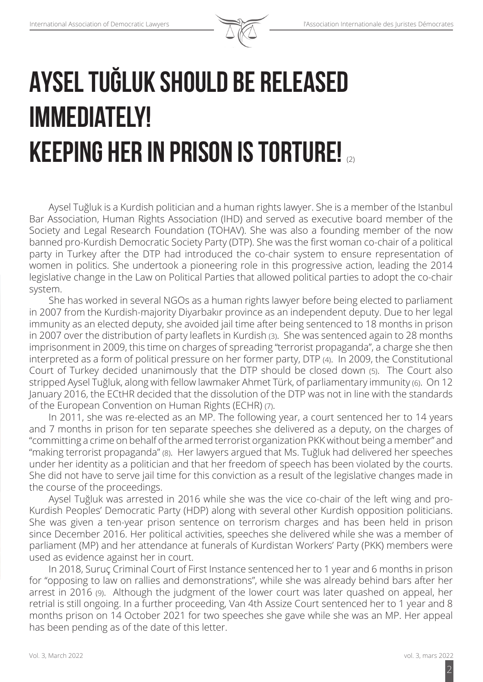

## **Aysel Tuğluk should be released immediately! Keeping her in prison is torture!** (2)

Aysel Tuğluk is a Kurdish politician and a human rights lawyer. She is a member of the Istanbul Bar Association, Human Rights Association (IHD) and served as executive board member of the Society and Legal Research Foundation (TOHAV). She was also a founding member of the now banned pro-Kurdish Democratic Society Party (DTP). She was the first woman co-chair of a political party in Turkey after the DTP had introduced the co-chair system to ensure representation of women in politics. She undertook a pioneering role in this progressive action, leading the 2014 legislative change in the Law on Political Parties that allowed political parties to adopt the co-chair system.

She has worked in several NGOs as a human rights lawyer before being elected to parliament in 2007 from the Kurdish-majority Diyarbakır province as an independent deputy. Due to her legal immunity as an elected deputy, she avoided jail time after being sentenced to 18 months in prison in 2007 over the distribution of party leaflets in Kurdish (3). She was sentenced again to 28 months imprisonment in 2009, this time on charges of spreading "terrorist propaganda", a charge she then interpreted as a form of political pressure on her former party, DTP (4). In 2009, the Constitutional Court of Turkey decided unanimously that the DTP should be closed down (5). The Court also stripped Aysel Tuğluk, along with fellow lawmaker Ahmet Türk, of parliamentary immunity (6). On 12 January 2016, the ECtHR decided that the dissolution of the DTP was not in line with the standards of the European Convention on Human Rights (ECHR) (7).

In 2011, she was re-elected as an MP. The following year, a court sentenced her to 14 years and 7 months in prison for ten separate speeches she delivered as a deputy, on the charges of "committing a crime on behalf of the armed terrorist organization PKK without being a member" and "making terrorist propaganda" (8). Her lawyers argued that Ms. Tuğluk had delivered her speeches under her identity as a politician and that her freedom of speech has been violated by the courts. She did not have to serve jail time for this conviction as a result of the legislative changes made in the course of the proceedings.

Aysel Tuğluk was arrested in 2016 while she was the vice co-chair of the left wing and pro-Kurdish Peoples' Democratic Party (HDP) along with several other Kurdish opposition politicians. She was given a ten-year prison sentence on terrorism charges and has been held in prison since December 2016. Her political activities, speeches she delivered while she was a member of parliament (MP) and her attendance at funerals of Kurdistan Workers' Party (PKK) members were used as evidence against her in court.

In 2018, Suruç Criminal Court of First Instance sentenced her to 1 year and 6 months in prison for "opposing to law on rallies and demonstrations", while she was already behind bars after her arrest in 2016 (9). Although the judgment of the lower court was later quashed on appeal, her retrial is still ongoing. In a further proceeding, Van 4th Assize Court sentenced her to 1 year and 8 months prison on 14 October 2021 for two speeches she gave while she was an MP. Her appeal has been pending as of the date of this letter.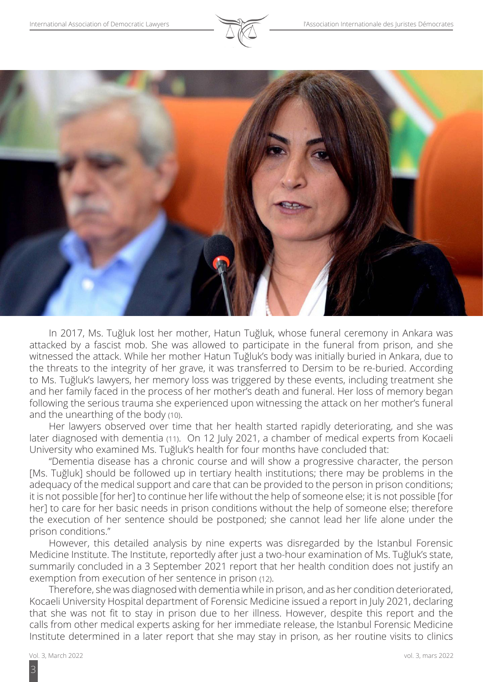

In 2017, Ms. Tuğluk lost her mother, Hatun Tuğluk, whose funeral ceremony in Ankara was attacked by a fascist mob. She was allowed to participate in the funeral from prison, and she witnessed the attack. While her mother Hatun Tuğluk's body was initially buried in Ankara, due to the threats to the integrity of her grave, it was transferred to Dersim to be re-buried. According to Ms. Tuğluk's lawyers, her memory loss was triggered by these events, including treatment she and her family faced in the process of her mother's death and funeral. Her loss of memory began following the serious trauma she experienced upon witnessing the attack on her mother's funeral and the unearthing of the body (10).

Her lawyers observed over time that her health started rapidly deteriorating, and she was later diagnosed with dementia (11). On 12 July 2021, a chamber of medical experts from Kocaeli University who examined Ms. Tuğluk's health for four months have concluded that:

"Dementia disease has a chronic course and will show a progressive character, the person [Ms. Tuğluk] should be followed up in tertiary health institutions; there may be problems in the adequacy of the medical support and care that can be provided to the person in prison conditions; it is not possible [for her] to continue her life without the help of someone else; it is not possible [for her] to care for her basic needs in prison conditions without the help of someone else; therefore the execution of her sentence should be postponed; she cannot lead her life alone under the prison conditions."

However, this detailed analysis by nine experts was disregarded by the Istanbul Forensic Medicine Institute. The Institute, reportedly after just a two-hour examination of Ms. Tuğluk's state, summarily concluded in a 3 September 2021 report that her health condition does not justify an exemption from execution of her sentence in prison (12).

Therefore, she was diagnosed with dementia while in prison, and as her condition deteriorated, Kocaeli University Hospital department of Forensic Medicine issued a report in July 2021, declaring that she was not fit to stay in prison due to her illness. However, despite this report and the calls from other medical experts asking for her immediate release, the Istanbul Forensic Medicine Institute determined in a later report that she may stay in prison, as her routine visits to clinics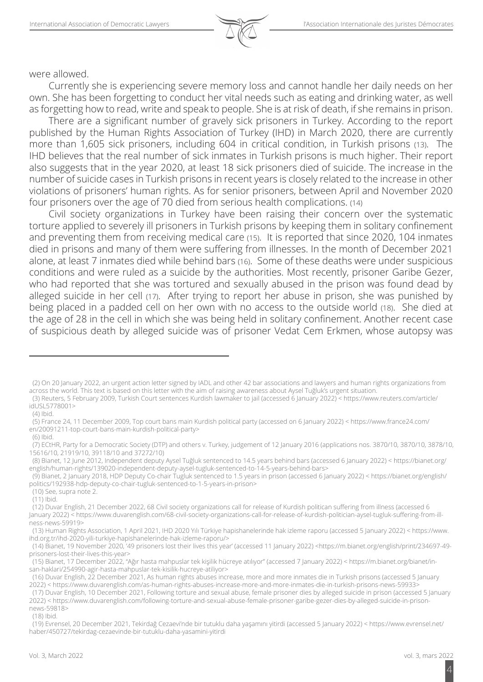were allowed.

Currently she is experiencing severe memory loss and cannot handle her daily needs on her own. She has been forgetting to conduct her vital needs such as eating and drinking water, as well as forgetting how to read, write and speak to people. She is at risk of death, if she remains in prison.

There are a significant number of gravely sick prisoners in Turkey. According to the report published by the Human Rights Association of Turkey (IHD) in March 2020, there are currently more than 1,605 sick prisoners, including 604 in critical condition, in Turkish prisons (13). The IHD believes that the real number of sick inmates in Turkish prisons is much higher. Their report also suggests that in the year 2020, at least 18 sick prisoners died of suicide. The increase in the number of suicide cases in Turkish prisons in recent years is closely related to the increase in other violations of prisoners' human rights. As for senior prisoners, between April and November 2020 four prisoners over the age of 70 died from serious health complications. (14)

Civil society organizations in Turkey have been raising their concern over the systematic torture applied to severely ill prisoners in Turkish prisons by keeping them in solitary confinement and preventing them from receiving medical care (15). It is reported that since 2020, 104 inmates died in prisons and many of them were suffering from illnesses. In the month of December 2021 alone, at least 7 inmates died while behind bars (16). Some of these deaths were under suspicious conditions and were ruled as a suicide by the authorities. Most recently, prisoner Garibe Gezer, who had reported that she was tortured and sexually abused in the prison was found dead by alleged suicide in her cell (17). After trying to report her abuse in prison, she was punished by being placed in a padded cell on her own with no access to the outside world (18). She died at the age of 28 in the cell in which she was being held in solitary confinement. Another recent case of suspicious death by alleged suicide was of prisoner Vedat Cem Erkmen, whose autopsy was

 (3) Reuters, 5 February 2009, Turkish Court sentences Kurdish lawmaker to jail (accessed 6 January 2022) < https://www.reuters.com/article/ idUSL5778001>

(4) Ibid.

 (5) France 24, 11 December 2009, Top court bans main Kurdish political party (accessed on 6 January 2022) < https://www.france24.com/ en/20091211-top-court-bans-main-kurdish-political-party>

(6) Ibid.

 (7) ECtHR, Party for a Democratic Society (DTP) and others v. Turkey, judgement of 12 January 2016 (applications nos. 3870/10, 3870/10, 3878/10, 15616/10, 21919/10, 39118/10 and 37272/10)

 (8) Bianet, 12 June 2012, Independent deputy Aysel Tuğluk sentenced to 14.5 years behind bars (accessed 6 January 2022) < https://bianet.org/ english/human-rights/139020-independent-deputy-aysel-tugluk-sentenced-to-14-5-years-behind-bars>

 (9) Bianet, 2 January 2018, HDP Deputy Co-chair Tugluk sentenced to 1.5 years in prison (accessed 6 January 2022) < https://bianet.org/english/ politics/192938-hdp-deputy-co-chair-tugluk-sentenced-to-1-5-years-in-prison>

(10) See, supra note 2.

(11) Ibid.

 (12) Duvar English, 21 December 2022, 68 Civil society organizations call for release of Kurdish politican suffering from illness (accessed 6 January 2022) < https://www.duvarenglish.com/68-civil-society-organizations-call-for-release-of-kurdish-politician-aysel-tugluk-suffering-from-illness-news-59919>

 (13) Human Rights Association, 1 April 2021, IHD 2020 Yılı Türkiye hapishanelerinde hak izleme raporu (accessed 5 January 2022) < https://www. ihd.org.tr/ihd-2020-yili-turkiye-hapishanelerinde-hak-izleme-raporu/>

 (14) Bianet, 19 November 2020, '49 prisoners lost their lives this year' (accessed 11 January 2022) <https://m.bianet.org/english/print/234697-49 prisoners-lost-their-lives-this-year>

 (15) Bianet, 17 December 2022, "Ağır hasta mahpuslar tek kişilik hücreye atılıyor" (accessed 7 January 2022) < https://m.bianet.org/bianet/insan-haklari/254990-agir-hasta-mahpuslar-tek-kisilik-hucreye-atiliyor>

 (16) Duvar English, 22 December 2021, As human rights abuses increase, more and more inmates die in Turkish prisons (accessed 5 January 2022) < https://www.duvarenglish.com/as-human-rights-abuses-increase-more-and-more-inmates-die-in-turkish-prisons-news-59933>

 (17) Duvar English, 10 December 2021, Following torture and sexual abuse, female prisoner dies by alleged suicide in prison (accessed 5 January 2022) < https://www.duvarenglish.com/following-torture-and-sexual-abuse-female-prisoner-garibe-gezer-dies-by-alleged-suicide-in-prisonnews-59818>

(18) Ibid.

 (19) Evrensel, 20 December 2021, Tekirdağ Cezaevi'nde bir tutuklu daha yaşamını yitirdi (accessed 5 January 2022) < https://www.evrensel.net/ haber/450727/tekirdag-cezaevinde-bir-tutuklu-daha-yasamini-yitirdi

 <sup>(2)</sup> On 20 January 2022, an urgent action letter signed by IADL and other 42 bar associations and lawyers and human rights organizations from across the world. This text is based on this letter with the aim of raising awareness about Aysel Tuğluk's urgent situation.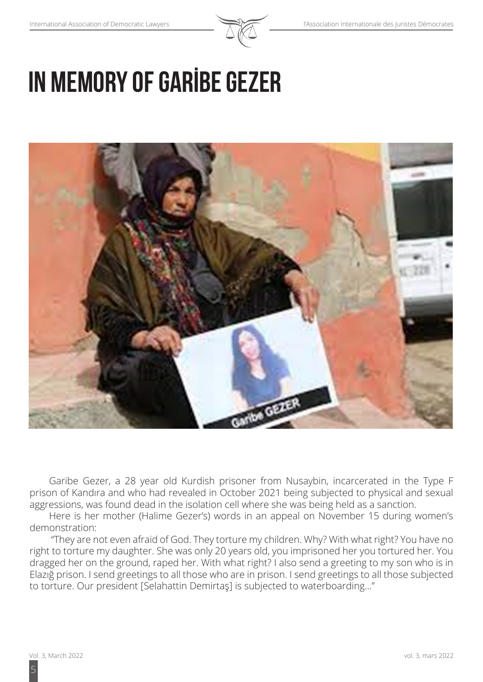

## **IN MEMORY OF GARİBE GEZER**



Garibe Gezer, a 28 year old Kurdish prisoner from Nusaybin, incarcerated in the Type F prison of Kandıra and who had revealed in October 2021 being subjected to physical and sexual aggressions, was found dead in the isolation cell where she was being held as a sanction.

Here is her mother (Halime Gezer's) words in an appeal on November 15 during women's demonstration:

 "They are not even afraid of God. They torture my children. Why? With what right? You have no right to torture my daughter. She was only 20 years old, you imprisoned her you tortured her. You dragged her on the ground, raped her. With what right? I also send a greeting to my son who is in Elazığ prison. I send greetings to all those who are in prison. I send greetings to all those subjected to torture. Our president [Selahattin Demirtaş] is subjected to waterboarding…"